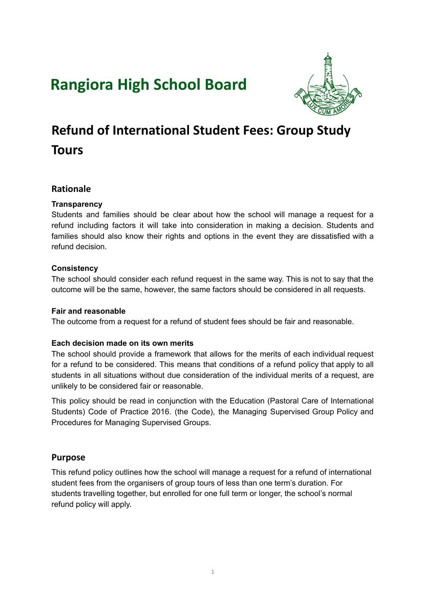# **Rangiora High School Board**



# **Refund of International Student Fees: Group Study Tours**

## **Rationale**

### **Transparency**

Students and families should be clear about how the school will manage a request for a refund including factors it will take into consideration in making a decision. Students and families should also know their rights and options in the event they are dissatisfied with a refund decision.

#### **Consistency**

The school should consider each refund request in the same way. This is not to say that the outcome will be the same, however, the same factors should be considered in all requests.

#### **Fair and reasonable**

The outcome from a request for a refund of student fees should be fair and reasonable.

#### **Each decision made on its own merits**

The school should provide a framework that allows for the merits of each individual request for a refund to be considered. This means that conditions of a refund policy that apply to all students in all situations without due consideration of the individual merits of a request, are unlikely to be considered fair or reasonable.

This policy should be read in conjunction with the Education (Pastoral Care of International Students) Code of Practice 2016. (the Code), the Managing Supervised Group Policy and Procedures for Managing Supervised Groups.

## **Purpose**

This refund policy outlines how the school will manage a request for a refund of international student fees from the organisers of group tours of less than one term's duration. For students travelling together, but enrolled for one full term or longer, the school's normal refund policy will apply.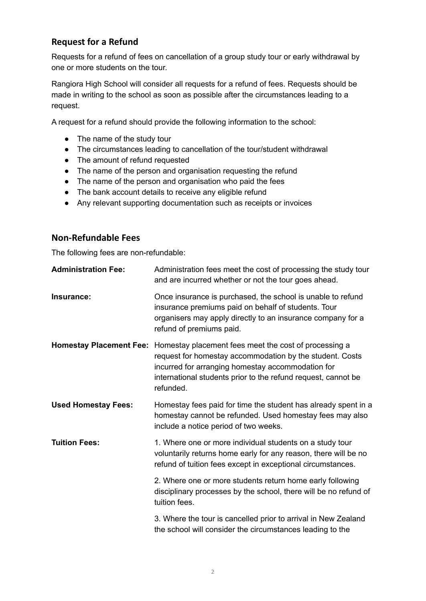## **Request for a Refund**

Requests for a refund of fees on cancellation of a group study tour or early withdrawal by one or more students on the tour.

Rangiora High School will consider all requests for a refund of fees. Requests should be made in writing to the school as soon as possible after the circumstances leading to a request.

A request for a refund should provide the following information to the school:

- The name of the study tour
- The circumstances leading to cancellation of the tour/student withdrawal
- The amount of refund requested
- The name of the person and organisation requesting the refund
- The name of the person and organisation who paid the fees
- The bank account details to receive any eligible refund
- Any relevant supporting documentation such as receipts or invoices

#### **Non-Refundable Fees**

The following fees are non-refundable:

| <b>Administration Fee:</b> | Administration fees meet the cost of processing the study tour<br>and are incurred whether or not the tour goes ahead.                                                                                                                                                              |
|----------------------------|-------------------------------------------------------------------------------------------------------------------------------------------------------------------------------------------------------------------------------------------------------------------------------------|
| Insurance:                 | Once insurance is purchased, the school is unable to refund<br>insurance premiums paid on behalf of students. Tour<br>organisers may apply directly to an insurance company for a<br>refund of premiums paid.                                                                       |
|                            | <b>Homestay Placement Fee:</b> Homestay placement fees meet the cost of processing a<br>request for homestay accommodation by the student. Costs<br>incurred for arranging homestay accommodation for<br>international students prior to the refund request, cannot be<br>refunded. |
| <b>Used Homestay Fees:</b> | Homestay fees paid for time the student has already spent in a<br>homestay cannot be refunded. Used homestay fees may also<br>include a notice period of two weeks.                                                                                                                 |
| <b>Tuition Fees:</b>       | 1. Where one or more individual students on a study tour<br>voluntarily returns home early for any reason, there will be no<br>refund of tuition fees except in exceptional circumstances.                                                                                          |
|                            | 2. Where one or more students return home early following<br>disciplinary processes by the school, there will be no refund of<br>tuition fees.                                                                                                                                      |
|                            | 3. Where the tour is cancelled prior to arrival in New Zealand<br>the school will consider the circumstances leading to the                                                                                                                                                         |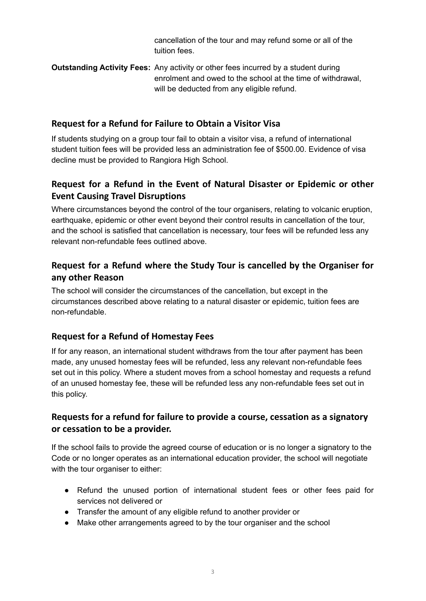cancellation of the tour and may refund some or all of the tuition fees.

**Outstanding Activity Fees:** Any activity or other fees incurred by a student during enrolment and owed to the school at the time of withdrawal, will be deducted from any eligible refund.

## **Request for a Refund for Failure to Obtain a Visitor Visa**

If students studying on a group tour fail to obtain a visitor visa, a refund of international student tuition fees will be provided less an administration fee of \$500.00. Evidence of visa decline must be provided to Rangiora High School.

# **Request for a Refund in the Event of Natural Disaster or Epidemic or other Event Causing Travel Disruptions**

Where circumstances beyond the control of the tour organisers, relating to volcanic eruption, earthquake, epidemic or other event beyond their control results in cancellation of the tour, and the school is satisfied that cancellation is necessary, tour fees will be refunded less any relevant non-refundable fees outlined above.

# **Request for a Refund where the Study Tour is cancelled by the Organiser for any other Reason**

The school will consider the circumstances of the cancellation, but except in the circumstances described above relating to a natural disaster or epidemic, tuition fees are non-refundable.

# **Request for a Refund of Homestay Fees**

If for any reason, an international student withdraws from the tour after payment has been made, any unused homestay fees will be refunded, less any relevant non-refundable fees set out in this policy. Where a student moves from a school homestay and requests a refund of an unused homestay fee, these will be refunded less any non-refundable fees set out in this policy.

# **Requests for a refund for failure to provide a course, cessation as a signatory or cessation to be a provider.**

If the school fails to provide the agreed course of education or is no longer a signatory to the Code or no longer operates as an international education provider, the school will negotiate with the tour organiser to either:

- Refund the unused portion of international student fees or other fees paid for services not delivered or
- Transfer the amount of any eligible refund to another provider or
- Make other arrangements agreed to by the tour organiser and the school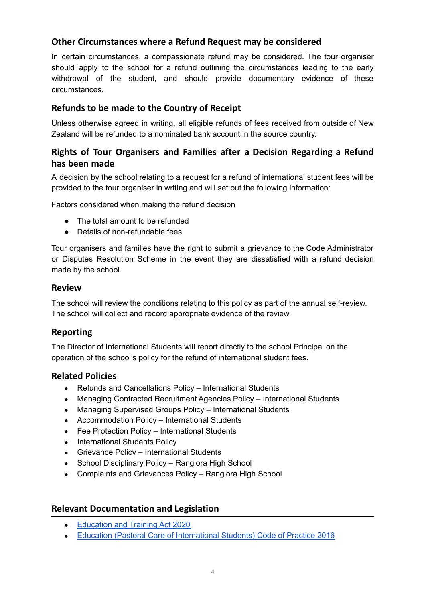# **Other Circumstances where a Refund Request may be considered**

In certain circumstances, a compassionate refund may be considered. The tour organiser should apply to the school for a refund outlining the circumstances leading to the early withdrawal of the student, and should provide documentary evidence of these circumstances.

## **Refunds to be made to the Country of Receipt**

Unless otherwise agreed in writing, all eligible refunds of fees received from outside of New Zealand will be refunded to a nominated bank account in the source country.

# **Rights of Tour Organisers and Families after a Decision Regarding a Refund has been made**

A decision by the school relating to a request for a refund of international student fees will be provided to the tour organiser in writing and will set out the following information:

Factors considered when making the refund decision

- The total amount to be refunded
- Details of non-refundable fees

Tour organisers and families have the right to submit a grievance to the Code Administrator or Disputes Resolution Scheme in the event they are dissatisfied with a refund decision made by the school.

#### **Review**

The school will review the conditions relating to this policy as part of the annual self-review. The school will collect and record appropriate evidence of the review.

## **Reporting**

The Director of International Students will report directly to the school Principal on the operation of the school's policy for the refund of international student fees.

#### **Related Policies**

- Refunds and Cancellations Policy International Students
- Managing Contracted Recruitment Agencies Policy International Students
- Managing Supervised Groups Policy International Students
- Accommodation Policy International Students
- Fee Protection Policy International Students
- International Students Policy
- Grievance Policy International Students
- School Disciplinary Policy Rangiora High School
- Complaints and Grievances Policy Rangiora High School

#### **Relevant Documentation and Legislation**

- [Education](https://www.legislation.govt.nz/act/public/2020/0038/latest/LMS170676.html) and Training Act 2020
- Education (Pastoral Care of [International](http://www.legislation.govt.nz/regulation/public/2016/0057/latest/DLM6748147.html) Students) Code of Practice 2016